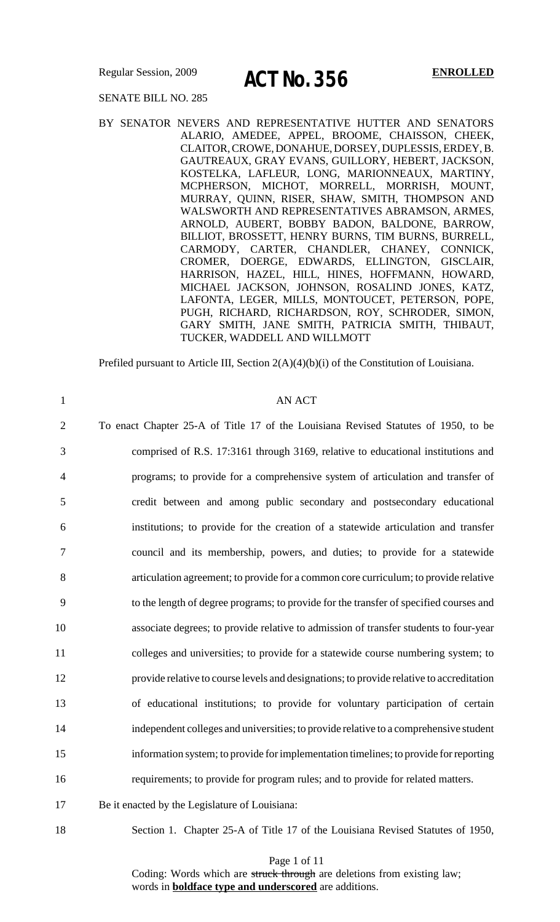Regular Session, 2009 **A CT N<sub>2</sub> OF L** ENROLLED

### SENATE BILL NO. 285

BY SENATOR NEVERS AND REPRESENTATIVE HUTTER AND SENATORS ALARIO, AMEDEE, APPEL, BROOME, CHAISSON, CHEEK, CLAITOR, CROWE, DONAHUE, DORSEY, DUPLESSIS, ERDEY, B. GAUTREAUX, GRAY EVANS, GUILLORY, HEBERT, JACKSON, KOSTELKA, LAFLEUR, LONG, MARIONNEAUX, MARTINY, MCPHERSON, MICHOT, MORRELL, MORRISH, MOUNT, MURRAY, QUINN, RISER, SHAW, SMITH, THOMPSON AND WALSWORTH AND REPRESENTATIVES ABRAMSON, ARMES, ARNOLD, AUBERT, BOBBY BADON, BALDONE, BARROW, BILLIOT, BROSSETT, HENRY BURNS, TIM BURNS, BURRELL, CARMODY, CARTER, CHANDLER, CHANEY, CONNICK, CROMER, DOERGE, EDWARDS, ELLINGTON, GISCLAIR, HARRISON, HAZEL, HILL, HINES, HOFFMANN, HOWARD, MICHAEL JACKSON, JOHNSON, ROSALIND JONES, KATZ, LAFONTA, LEGER, MILLS, MONTOUCET, PETERSON, POPE, PUGH, RICHARD, RICHARDSON, ROY, SCHRODER, SIMON, GARY SMITH, JANE SMITH, PATRICIA SMITH, THIBAUT, TUCKER, WADDELL AND WILLMOTT

Prefiled pursuant to Article III, Section 2(A)(4)(b)(i) of the Constitution of Louisiana.

| $\mathbf{1}$   | <b>AN ACT</b>                                                                            |
|----------------|------------------------------------------------------------------------------------------|
| $\overline{2}$ | To enact Chapter 25-A of Title 17 of the Louisiana Revised Statutes of 1950, to be       |
| 3              | comprised of R.S. 17:3161 through 3169, relative to educational institutions and         |
| $\overline{4}$ | programs; to provide for a comprehensive system of articulation and transfer of          |
| 5              | credit between and among public secondary and postsecondary educational                  |
| 6              | institutions; to provide for the creation of a statewide articulation and transfer       |
| 7              | council and its membership, powers, and duties; to provide for a statewide               |
| 8              | articulation agreement; to provide for a common core curriculum; to provide relative     |
| 9              | to the length of degree programs; to provide for the transfer of specified courses and   |
| 10             | associate degrees; to provide relative to admission of transfer students to four-year    |
| 11             | colleges and universities; to provide for a statewide course numbering system; to        |
| 12             | provide relative to course levels and designations; to provide relative to accreditation |
| 13             | of educational institutions; to provide for voluntary participation of certain           |
| 14             | independent colleges and universities; to provide relative to a comprehensive student    |
| 15             | information system; to provide for implementation timelines; to provide for reporting    |
| 16             | requirements; to provide for program rules; and to provide for related matters.          |
| 17             | Be it enacted by the Legislature of Louisiana:                                           |

18 Section 1. Chapter 25-A of Title 17 of the Louisiana Revised Statutes of 1950,

Page 1 of 11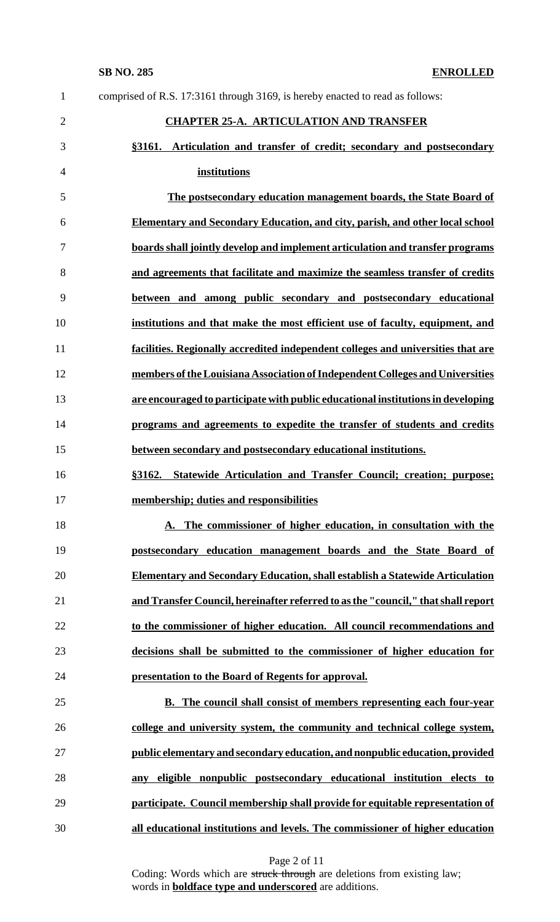| $\mathbf{1}$   | comprised of R.S. 17:3161 through 3169, is hereby enacted to read as follows:       |
|----------------|-------------------------------------------------------------------------------------|
| $\overline{2}$ | <b>CHAPTER 25-A. ARTICULATION AND TRANSFER</b>                                      |
| 3              | §3161. Articulation and transfer of credit; secondary and postsecondary             |
| $\overline{4}$ | institutions                                                                        |
| 5              | The postsecondary education management boards, the State Board of                   |
| 6              | <b>Elementary and Secondary Education, and city, parish, and other local school</b> |
| 7              | boards shall jointly develop and implement articulation and transfer programs       |
| 8              | and agreements that facilitate and maximize the seamless transfer of credits        |
| 9              | between and among public secondary and postsecondary educational                    |
| 10             | institutions and that make the most efficient use of faculty, equipment, and        |
| 11             | facilities. Regionally accredited independent colleges and universities that are    |
| 12             | members of the Louisiana Association of Independent Colleges and Universities       |
| 13             | are encouraged to participate with public educational institutions in developing    |
| 14             | programs and agreements to expedite the transfer of students and credits            |
| 15             | between secondary and postsecondary educational institutions.                       |
| 16             | Statewide Articulation and Transfer Council; creation; purpose;<br>§3162.           |
| 17             | membership; duties and responsibilities                                             |
| 18             | A. The commissioner of higher education, in consultation with the                   |
| 19             | postsecondary education management boards and the State Board of                    |
| 20             | <b>Elementary and Secondary Education, shall establish a Statewide Articulation</b> |
| 21             | and Transfer Council, hereinafter referred to as the "council," that shall report   |
| 22             | to the commissioner of higher education. All council recommendations and            |
| 23             | decisions shall be submitted to the commissioner of higher education for            |
| 24             | presentation to the Board of Regents for approval.                                  |
| 25             | <b>B.</b> The council shall consist of members representing each four-year          |
| 26             | college and university system, the community and technical college system,          |
| 27             | public elementary and secondary education, and nonpublic education, provided        |
| 28             | eligible nonpublic postsecondary educational institution elects to<br>any           |
| 29             | participate. Council membership shall provide for equitable representation of       |
| 30             | all educational institutions and levels. The commissioner of higher education       |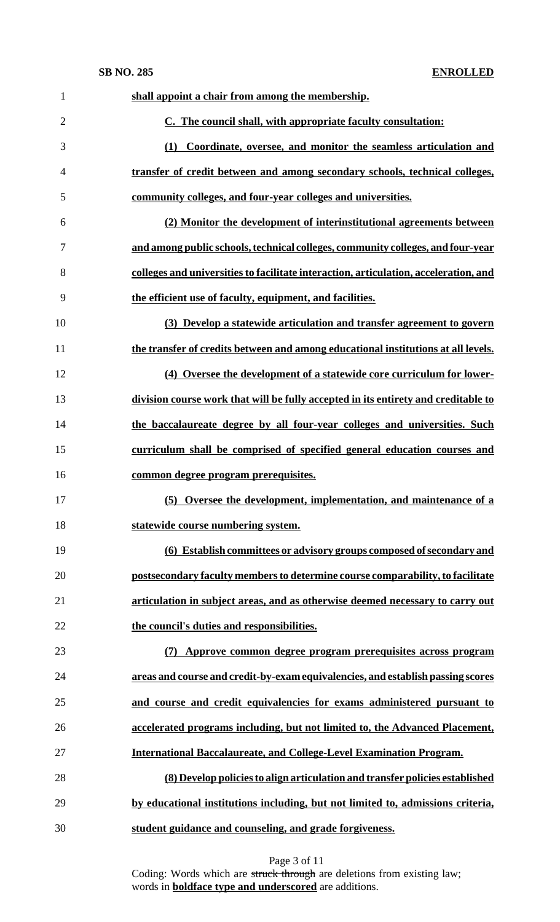| $\mathbf{1}$   | shall appoint a chair from among the membership.                                     |
|----------------|--------------------------------------------------------------------------------------|
| $\overline{2}$ | C. The council shall, with appropriate faculty consultation:                         |
| 3              | (1) Coordinate, oversee, and monitor the seamless articulation and                   |
| $\overline{4}$ | transfer of credit between and among secondary schools, technical colleges,          |
| 5              | community colleges, and four-year colleges and universities.                         |
| 6              | (2) Monitor the development of interinstitutional agreements between                 |
| 7              | and among public schools, technical colleges, community colleges, and four-year      |
| 8              | colleges and universities to facilitate interaction, articulation, acceleration, and |
| 9              | the efficient use of faculty, equipment, and facilities.                             |
| 10             | (3) Develop a statewide articulation and transfer agreement to govern                |
| 11             | the transfer of credits between and among educational institutions at all levels.    |
| 12             | (4) Oversee the development of a statewide core curriculum for lower-                |
| 13             | division course work that will be fully accepted in its entirety and creditable to   |
| 14             | the baccalaureate degree by all four-year colleges and universities. Such            |
| 15             | curriculum shall be comprised of specified general education courses and             |
| 16             | common degree program prerequisites.                                                 |
| 17             | (i) Oversee the development, implementation, and maintenance of a<br>(5)             |
| 18             | statewide course numbering system.                                                   |
| 19             | (6) Establish committees or advisory groups composed of secondary and                |
| 20             | postsecondary faculty members to determine course comparability, to facilitate       |
| 21             | articulation in subject areas, and as otherwise deemed necessary to carry out        |
| 22             | the council's duties and responsibilities.                                           |
| 23             | Approve common degree program prerequisites across program<br>(7)                    |
| 24             | areas and course and credit-by-exam equivalencies, and establish passing scores      |
| 25             | and course and credit equivalencies for exams administered pursuant to               |
| 26             | accelerated programs including, but not limited to, the Advanced Placement,          |
| 27             | <b>International Baccalaureate, and College-Level Examination Program.</b>           |
| 28             | (8) Develop policies to align articulation and transfer policies established         |
| 29             | by educational institutions including, but not limited to, admissions criteria,      |
| 30             | student guidance and counseling, and grade forgiveness.                              |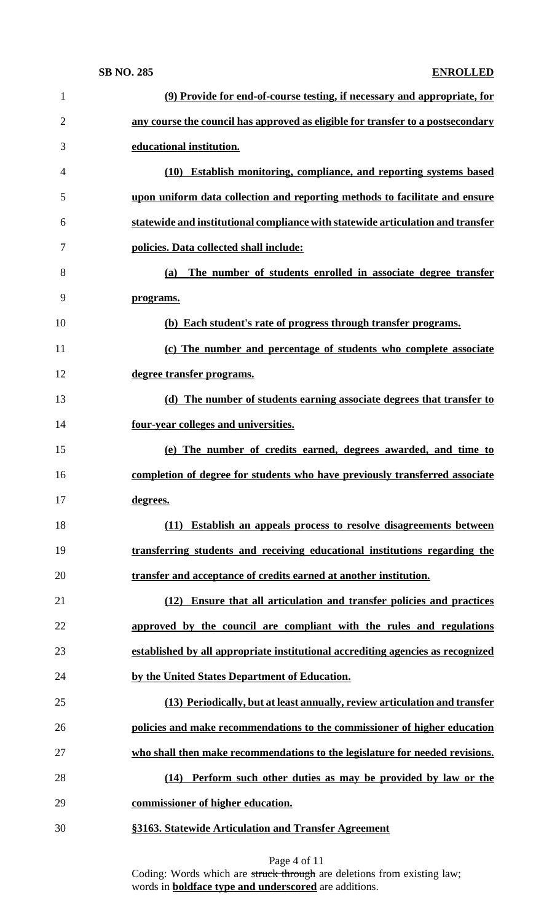| $\mathbf{1}$   | (9) Provide for end-of-course testing, if necessary and appropriate, for        |
|----------------|---------------------------------------------------------------------------------|
| $\overline{2}$ | any course the council has approved as eligible for transfer to a postsecondary |
| 3              | educational institution.                                                        |
| 4              | (10) Establish monitoring, compliance, and reporting systems based              |
| 5              | upon uniform data collection and reporting methods to facilitate and ensure     |
| 6              | statewide and institutional compliance with statewide articulation and transfer |
| 7              | policies. Data collected shall include:                                         |
| 8              | The number of students enrolled in associate degree transfer<br>(a)             |
| 9              | programs.                                                                       |
| 10             | (b) Each student's rate of progress through transfer programs.                  |
| 11             | (c) The number and percentage of students who complete associate                |
| 12             | degree transfer programs.                                                       |
| 13             | (d) The number of students earning associate degrees that transfer to           |
| 14             | four-year colleges and universities.                                            |
| 15             | (e) The number of credits earned, degrees awarded, and time to                  |
| 16             | completion of degree for students who have previously transferred associate     |
| 17             | degrees.                                                                        |
| 18             | (11) Establish an appeals process to resolve disagreements between              |
| 19             | transferring students and receiving educational institutions regarding the      |
| 20             | transfer and acceptance of credits earned at another institution.               |
| 21             | Ensure that all articulation and transfer policies and practices<br>(12)        |
| 22             | approved by the council are compliant with the rules and regulations            |
| 23             | established by all appropriate institutional accrediting agencies as recognized |
| 24             | by the United States Department of Education.                                   |
| 25             | (13) Periodically, but at least annually, review articulation and transfer      |
| 26             | policies and make recommendations to the commissioner of higher education       |
| 27             | who shall then make recommendations to the legislature for needed revisions.    |
| 28             | (14) Perform such other duties as may be provided by law or the                 |
| 29             | commissioner of higher education.                                               |
| 30             | §3163. Statewide Articulation and Transfer Agreement                            |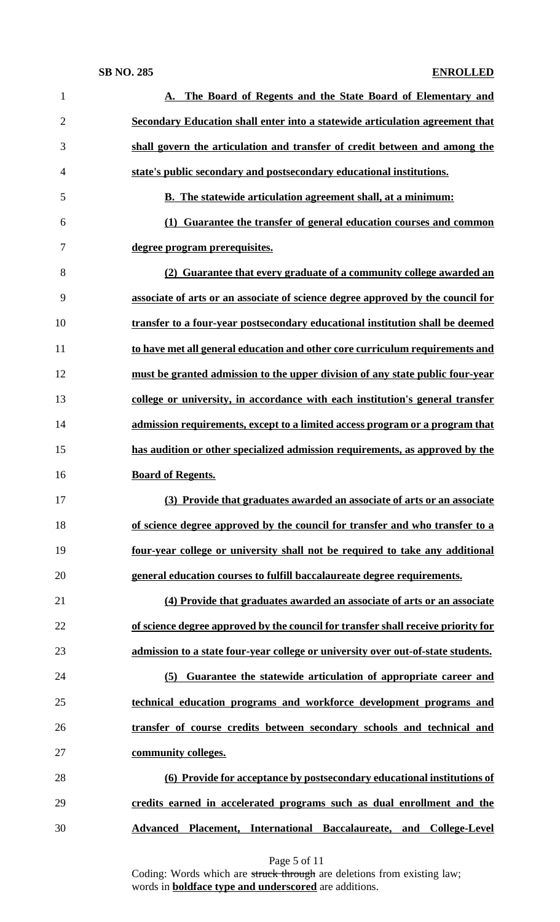| 1            | A. The Board of Regents and the State Board of Elementary and                     |
|--------------|-----------------------------------------------------------------------------------|
| $\mathbf{2}$ | Secondary Education shall enter into a statewide articulation agreement that      |
| 3            | shall govern the articulation and transfer of credit between and among the        |
| 4            | state's public secondary and postsecondary educational institutions.              |
| 5            | <b>B.</b> The statewide articulation agreement shall, at a minimum:               |
| 6            | Guarantee the transfer of general education courses and common<br>(1)             |
| 7            | degree program prerequisites.                                                     |
| 8            | (2) Guarantee that every graduate of a community college awarded an               |
| 9            | associate of arts or an associate of science degree approved by the council for   |
| 10           | transfer to a four-year postsecondary educational institution shall be deemed     |
| 11           | to have met all general education and other core curriculum requirements and      |
| 12           | must be granted admission to the upper division of any state public four-year     |
| 13           | college or university, in accordance with each institution's general transfer     |
| 14           | admission requirements, except to a limited access program or a program that      |
| 15           | has audition or other specialized admission requirements, as approved by the      |
| 16           | <b>Board of Regents.</b>                                                          |
| 17           | (3) Provide that graduates awarded an associate of arts or an associate           |
| 18           | of science degree approved by the council for transfer and who transfer to a      |
| 19           | four-year college or university shall not be required to take any additional      |
| 20           | general education courses to fulfill baccalaureate degree requirements.           |
| 21           | (4) Provide that graduates awarded an associate of arts or an associate           |
| 22           | of science degree approved by the council for transfer shall receive priority for |
| 23           | admission to a state four-year college or university over out-of-state students.  |
| 24           | Guarantee the statewide articulation of appropriate career and<br>(5)             |
| 25           | technical education programs and workforce development programs and               |
| 26           | transfer of course credits between secondary schools and technical and            |
|              |                                                                                   |
| 27           | community colleges.                                                               |
| 28           | (6) Provide for acceptance by postsecondary educational institutions of           |
| 29           | credits earned in accelerated programs such as dual enrollment and the            |

Page 5 of 11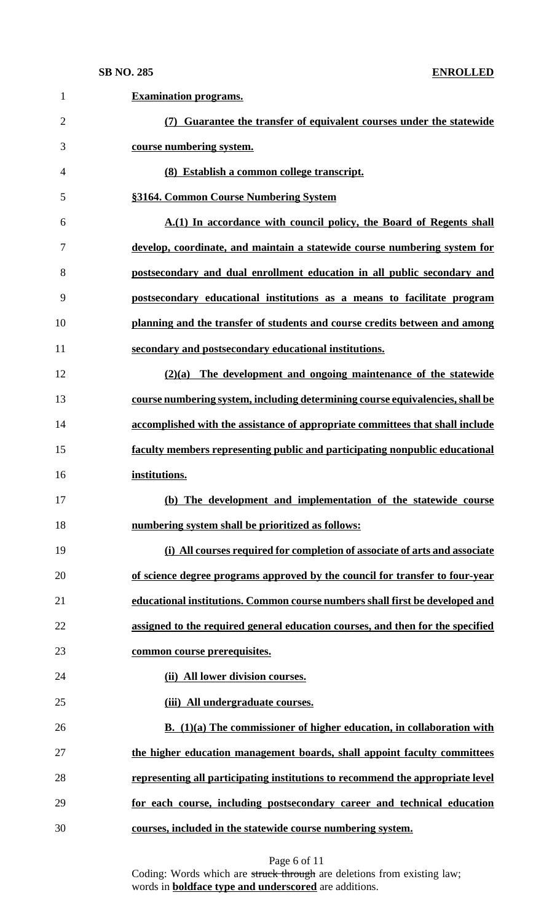| $\mathbf{1}$   | <b>Examination programs.</b>                                                   |
|----------------|--------------------------------------------------------------------------------|
| $\overline{2}$ | (7) Guarantee the transfer of equivalent courses under the statewide           |
| 3              | course numbering system.                                                       |
| 4              | (8) Establish a common college transcript.                                     |
| 5              | §3164. Common Course Numbering System                                          |
| 6              | A.(1) In accordance with council policy, the Board of Regents shall            |
| 7              | develop, coordinate, and maintain a statewide course numbering system for      |
| 8              | postsecondary and dual enrollment education in all public secondary and        |
| 9              | postsecondary educational institutions as a means to facilitate program        |
| 10             | planning and the transfer of students and course credits between and among     |
| 11             | secondary and postsecondary educational institutions.                          |
| 12             | $(2)(a)$ The development and ongoing maintenance of the statewide              |
| 13             | course numbering system, including determining course equivalencies, shall be  |
| 14             | accomplished with the assistance of appropriate committees that shall include  |
| 15             | faculty members representing public and participating nonpublic educational    |
| 16             | institutions.                                                                  |
| 17             | (b) The development and implementation of the statewide course                 |
| 18             | numbering system shall be prioritized as follows:                              |
| 19             | (i) All courses required for completion of associate of arts and associate     |
| 20             | of science degree programs approved by the council for transfer to four-year   |
| 21             | educational institutions. Common course numbers shall first be developed and   |
| 22             | assigned to the required general education courses, and then for the specified |
| 23             | common course prerequisites.                                                   |
| 24             | (ii) All lower division courses.                                               |
| 25             | (iii) All undergraduate courses.                                               |
| 26             | B. $(1)(a)$ The commissioner of higher education, in collaboration with        |
| 27             | the higher education management boards, shall appoint faculty committees       |
| 28             | representing all participating institutions to recommend the appropriate level |
| 29             | for each course, including postsecondary career and technical education        |
| 30             | courses, included in the statewide course numbering system.                    |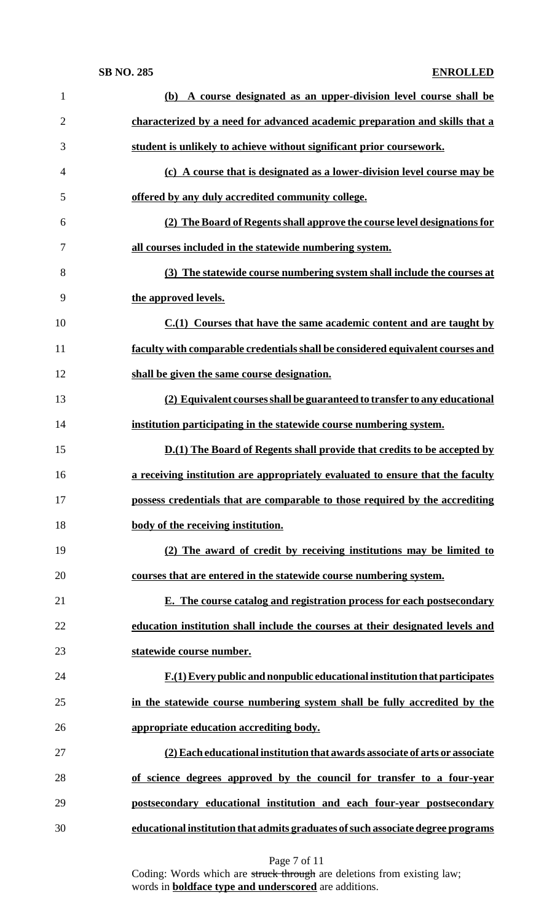| $\mathbf{1}$   | (b) A course designated as an upper-division level course shall be              |
|----------------|---------------------------------------------------------------------------------|
| $\overline{2}$ | characterized by a need for advanced academic preparation and skills that a     |
| 3              | student is unlikely to achieve without significant prior coursework.            |
| $\overline{4}$ | (c) A course that is designated as a lower-division level course may be         |
| 5              | offered by any duly accredited community college.                               |
| 6              | (2) The Board of Regents shall approve the course level designations for        |
| 7              | all courses included in the statewide numbering system.                         |
| 8              | (3) The statewide course numbering system shall include the courses at          |
| 9              | the approved levels.                                                            |
| 10             | $C1(1)$ Courses that have the same academic content and are taught by           |
| 11             | faculty with comparable credentials shall be considered equivalent courses and  |
| 12             | shall be given the same course designation.                                     |
| 13             | (2) Equivalent courses shall be guaranteed to transfer to any educational       |
| 14             | institution participating in the statewide course numbering system.             |
| 15             | <b>D.(1)</b> The Board of Regents shall provide that credits to be accepted by  |
| 16             | a receiving institution are appropriately evaluated to ensure that the faculty  |
| 17             | possess credentials that are comparable to those required by the accrediting    |
| 18             | body of the receiving institution.                                              |
| 19             | (2) The award of credit by receiving institutions may be limited to             |
| 20             | courses that are entered in the statewide course numbering system.              |
| 21             | E. The course catalog and registration process for each postsecondary           |
| 22             | education institution shall include the courses at their designated levels and  |
| 23             | statewide course number.                                                        |
| 24             | $F(1)$ Every public and nonpublic educational institution that participates     |
| 25             | in the statewide course numbering system shall be fully accredited by the       |
| 26             | appropriate education accrediting body.                                         |
| 27             | (2) Each educational institution that awards associate of arts or associate     |
| 28             | of science degrees approved by the council for transfer to a four-year          |
| 29             | postsecondary educational institution and each four-year postsecondary          |
| 30             | educational institution that admits graduates of such associate degree programs |

Page 7 of 11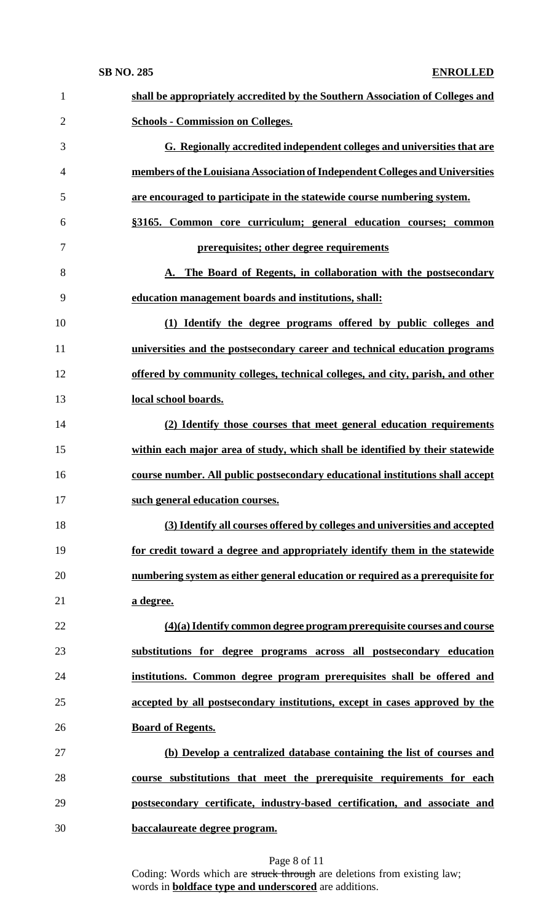| $\mathbf{1}$   | shall be appropriately accredited by the Southern Association of Colleges and  |
|----------------|--------------------------------------------------------------------------------|
| $\overline{2}$ | <b>Schools - Commission on Colleges.</b>                                       |
| 3              | G. Regionally accredited independent colleges and universities that are        |
| $\overline{4}$ | members of the Louisiana Association of Independent Colleges and Universities  |
| 5              | are encouraged to participate in the statewide course numbering system.        |
| 6              | §3165. Common core curriculum; general education courses; common               |
| 7              | prerequisites; other degree requirements                                       |
| 8              | A. The Board of Regents, in collaboration with the postsecondary               |
| 9              | education management boards and institutions, shall:                           |
| 10             | (1) Identify the degree programs offered by public colleges and                |
| 11             | universities and the postsecondary career and technical education programs     |
| 12             | offered by community colleges, technical colleges, and city, parish, and other |
| 13             | local school boards.                                                           |
| 14             | (2) Identify those courses that meet general education requirements            |
| 15             | within each major area of study, which shall be identified by their statewide  |
| 16             | course number. All public postsecondary educational institutions shall accept  |
| 17             | such general education courses.                                                |
| 18             | (3) Identify all courses offered by colleges and universities and accepted     |
| 19             | for credit toward a degree and appropriately identify them in the statewide    |
| 20             | numbering system as either general education or required as a prerequisite for |
| 21             | a degree.                                                                      |
| 22             | $(4)(a)$ Identify common degree program prerequisite courses and course        |
| 23             | substitutions for degree programs across all postsecondary education           |
| 24             | institutions. Common degree program prerequisites shall be offered and         |
| 25             | accepted by all postsecondary institutions, except in cases approved by the    |
| 26             | <b>Board of Regents.</b>                                                       |
| 27             | (b) Develop a centralized database containing the list of courses and          |
| 28             | course substitutions that meet the prerequisite requirements for each          |
| 29             | postsecondary certificate, industry-based certification, and associate and     |
| 30             | baccalaureate degree program.                                                  |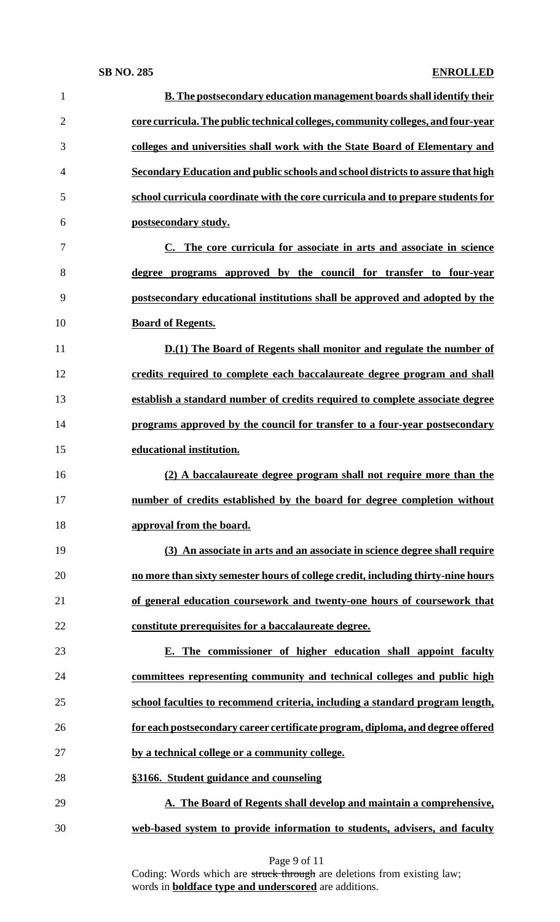| $\mathbf{1}$   | <b>B.</b> The postsecondary education management boards shall identify their     |
|----------------|----------------------------------------------------------------------------------|
| $\overline{2}$ | core curricula. The public technical colleges, community colleges, and four-year |
| 3              | colleges and universities shall work with the State Board of Elementary and      |
| $\overline{4}$ | Secondary Education and public schools and school districts to assure that high  |
| 5              | school curricula coordinate with the core curricula and to prepare students for  |
| 6              | postsecondary study.                                                             |
| 7              | C. The core curricula for associate in arts and associate in science             |
| 8              | degree programs approved by the council for transfer to four-year                |
| 9              | postsecondary educational institutions shall be approved and adopted by the      |
| 10             | <b>Board of Regents.</b>                                                         |
| 11             | <b>D.(1)</b> The Board of Regents shall monitor and regulate the number of       |
| 12             | credits required to complete each baccalaureate degree program and shall         |
| 13             | establish a standard number of credits required to complete associate degree     |
| 14             | programs approved by the council for transfer to a four-year postsecondary       |
| 15             | educational institution.                                                         |
| 16             | (2) A baccalaureate degree program shall not require more than the               |
| 17             | number of credits established by the board for degree completion without         |
| 18             | approval from the board.                                                         |
| 19             | (3) An associate in arts and an associate in science degree shall require        |
| 20             | no more than sixty semester hours of college credit, including thirty-nine hours |
| 21             | of general education coursework and twenty-one hours of coursework that          |
| 22             | constitute prerequisites for a baccalaureate degree.                             |
| 23             | E. The commissioner of higher education shall appoint faculty                    |
| 24             | committees representing community and technical colleges and public high         |
| 25             | school faculties to recommend criteria, including a standard program length,     |
| 26             | for each postsecondary career certificate program, diploma, and degree offered   |
| 27             | by a technical college or a community college.                                   |
| 28             | §3166. Student guidance and counseling                                           |
| 29             | A. The Board of Regents shall develop and maintain a comprehensive,              |
| 30             | web-based system to provide information to students, advisers, and faculty       |
|                |                                                                                  |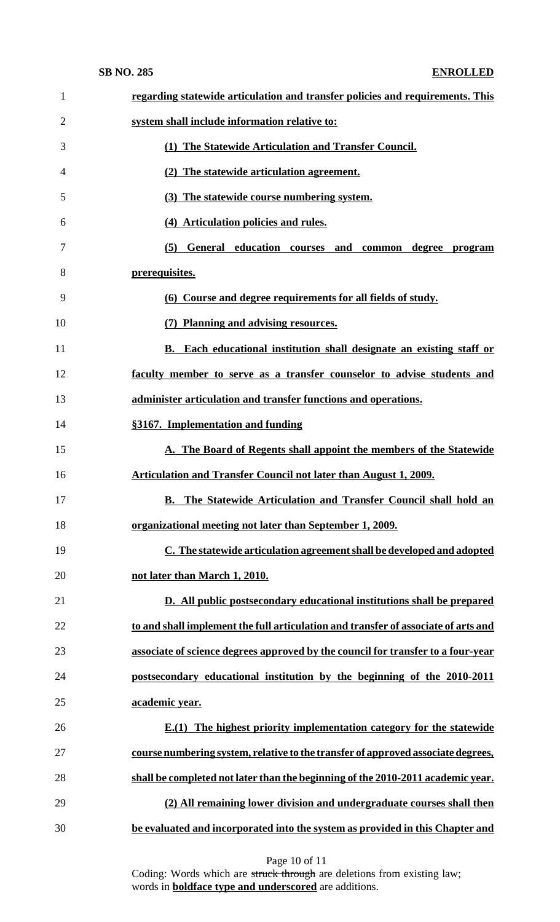| $\mathbf{1}$   | regarding statewide articulation and transfer policies and requirements. This      |
|----------------|------------------------------------------------------------------------------------|
| $\overline{2}$ | system shall include information relative to:                                      |
| 3              | (1) The Statewide Articulation and Transfer Council.                               |
| 4              | (2) The statewide articulation agreement.                                          |
| 5              | (3) The statewide course numbering system.                                         |
| 6              | (4) Articulation policies and rules.                                               |
| 7              | General education courses and<br>common degree program<br>(5)                      |
| 8              | prerequisites.                                                                     |
| 9              | (6) Course and degree requirements for all fields of study.                        |
| 10             | (7) Planning and advising resources.                                               |
| 11             | B. Each educational institution shall designate an existing staff or               |
| 12             | faculty member to serve as a transfer counselor to advise students and             |
| 13             | administer articulation and transfer functions and operations.                     |
| 14             | §3167. Implementation and funding                                                  |
| 15             | A. The Board of Regents shall appoint the members of the Statewide                 |
| 16             | Articulation and Transfer Council not later than August 1, 2009.                   |
| 17             | <b>B.</b> The Statewide Articulation and Transfer Council shall hold an            |
| 18             | organizational meeting not later than September 1, 2009.                           |
| 19             | C. The statewide articulation agreement shall be developed and adopted             |
| 20             | not later than March 1, 2010.                                                      |
| 21             | D. All public postsecondary educational institutions shall be prepared             |
| 22             | to and shall implement the full articulation and transfer of associate of arts and |
| 23             | associate of science degrees approved by the council for transfer to a four-year   |
| 24             | postsecondary educational institution by the beginning of the 2010-2011            |
| 25             | academic year.                                                                     |
| 26             | $E(1)$ The highest priority implementation category for the statewide              |
| 27             | course numbering system, relative to the transfer of approved associate degrees,   |
| 28             | shall be completed not later than the beginning of the 2010-2011 academic year.    |
| 29             | (2) All remaining lower division and undergraduate courses shall then              |
| 30             | be evaluated and incorporated into the system as provided in this Chapter and      |
|                |                                                                                    |

Page 10 of 11